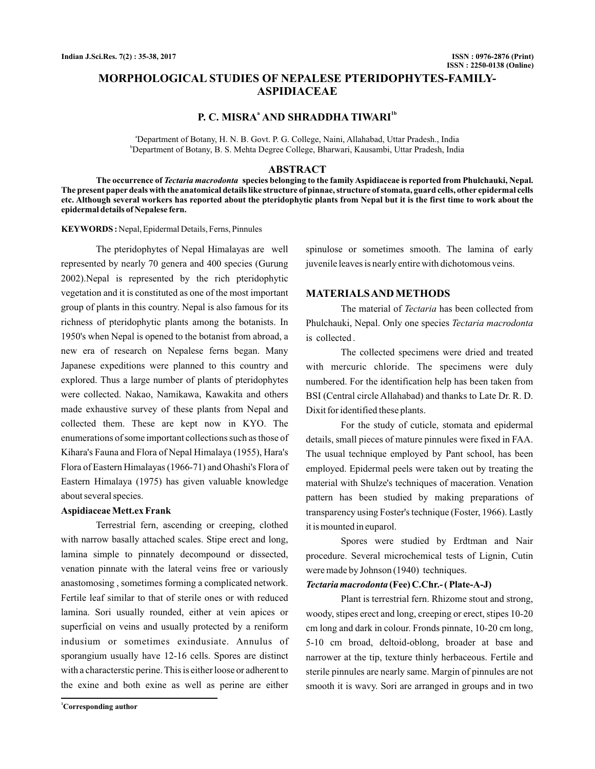# **MORPHOLOGICAL STUDIES OF NEPALESE PTERIDOPHYTES-FAMILY-ASPIDIACEAE**

## **P. C. MISRA AND SHRADDHA TIWARI <sup>a</sup> 1b**

a Department of Botany, H. N. B. Govt. P. G. College, Naini, Allahabad, Uttar Pradesh., India b Department of Botany, B. S. Mehta Degree College, Bharwari, Kausambi, Uttar Pradesh, India

### **ABSTRACT**

The occurrence of *Tectaria macrodonta* species belonging to the family Aspidiaceae is reported from Phulchauki, Nepal. **The present paper deals with the anatomical details like structure of pinnae, structure of stomata, guard cells, other epidermal cells etc. Although several workers has reported about the pteridophytic plants from Nepal but it is the first time to work about the epidermal details of Nepalese fern.**

#### KEYWORDS: Nepal, Epidermal Details, Ferns, Pinnules

The pteridophytes of Nepal Himalayas are well represented by nearly 70 genera and 400 species (Gurung 2002).Nepal is represented by the rich pteridophytic vegetation and it is constituted as one of the most important group of plants in this country. Nepal is also famous for its richness of pteridophytic plants among the botanists. In 1950's when Nepal is opened to the botanist from abroad, a new era of research on Nepalese ferns began. Many Japanese expeditions were planned to this country and explored. Thus a large number of plants of pteridophytes were collected. Nakao, Namikawa, Kawakita and others made exhaustive survey of these plants from Nepal and collected them. These are kept now in KYO. The enumerations of some important collections such as those of Kihara's Fauna and Flora of Nepal Himalaya (1955), Hara's Flora of Eastern Himalayas (1966-71) and Ohashi's Flora of Eastern Himalaya (1975) has given valuable knowledge about several species.

#### **Aspidiaceae Mett.ex Frank**

Terrestrial fern, ascending or creeping, clothed with narrow basally attached scales. Stipe erect and long, lamina simple to pinnately decompound or dissected, venation pinnate with the lateral veins free or variously anastomosing , sometimes forming a complicated network. Fertile leaf similar to that of sterile ones or with reduced lamina. Sori usually rounded, either at vein apices or superficial on veins and usually protected by a reniform indusium or sometimes exindusiate. Annulus of sporangium usually have 12-16 cells. Spores are distinct with a characterstic perine. This is either loose or adherent to the exine and both exine as well as perine are either

spinulose or sometimes smooth. The lamina of early juvenile leaves is nearly entire with dichotomous veins.

## **MATERIALSAND METHODS**

The material of *Tectaria* has been collected from Phulchauki, Nepal. Only one species *Tectaria macrodonta* is collected .

The collected specimens were dried and treated with mercuric chloride. The specimens were duly numbered. For the identification help has been taken from BSI (Central circle Allahabad) and thanks to Late Dr. R. D. Dixit for identified these plants.

For the study of cuticle, stomata and epidermal details, small pieces of mature pinnules were fixed in FAA. The usual technique employed by Pant school, has been employed. Epidermal peels were taken out by treating the material with Shulze's techniques of maceration. Venation pattern has been studied by making preparations of transparency using Foster's technique (Foster, 1966). Lastly it is mounted in euparol.

Spores were studied by Erdtman and Nair procedure. Several microchemical tests of Lignin, Cutin were made by Johnson (1940) techniques.

#### *Tectaria macrodonta* **(Fee) C.Chr.- ( Plate-A-J)**

Plant is terrestrial fern. Rhizome stout and strong, woody, stipes erect and long, creeping or erect, stipes 10-20 cm long and dark in colour. Fronds pinnate, 10-20 cm long, 5-10 cm broad, deltoid-oblong, broader at base and narrower at the tip, texture thinly herbaceous. Fertile and sterile pinnules are nearly same. Margin of pinnules are not smooth it is wavy. Sori are arranged in groups and in two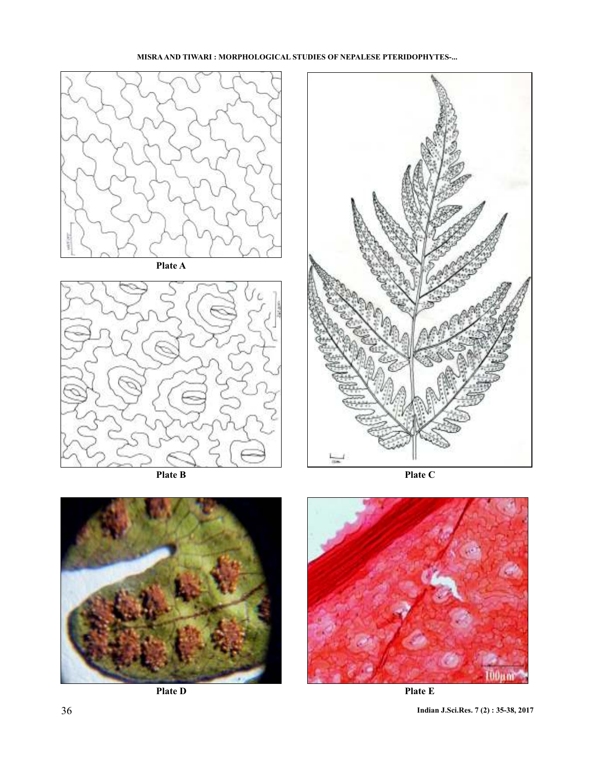

**MISRA AND TIWARI : MORPHOLOGICAL STUDIES OF NEPALESE PTERIDOPHYTES-...**





**Plate D**



**Plate E**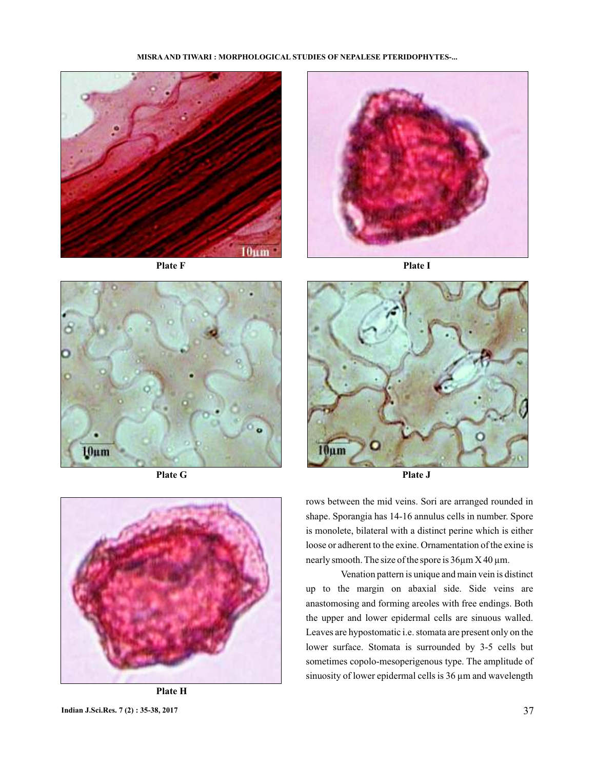#### **MISRA AND TIWARI : MORPHOLOGICAL STUDIES OF NEPALESE PTERIDOPHYTES-...**





**Plate F Plate I**





**Plate H**



rows between the mid veins. Sori are arranged rounded in shape. Sporangia has 14-16 annulus cells in number. Spore is monolete, bilateral with a distinct perine which is either loose or adherent to the exine. Ornamentation of the exine is nearly smooth. The size of the spore is 36µm X 40 µm.

Venation pattern is unique and main vein is distinct up to the margin on abaxial side. Side veins are anastomosing and forming areoles with free endings. Both the upper and lower epidermal cells are sinuous walled. Leaves are hypostomatic i.e. stomata are present only on the lower surface. Stomata is surrounded by 3-5 cells but sometimes copolo-mesoperigenous type. The amplitude of sinuosity of lower epidermal cells is 36  $\mu$ m and wavelength